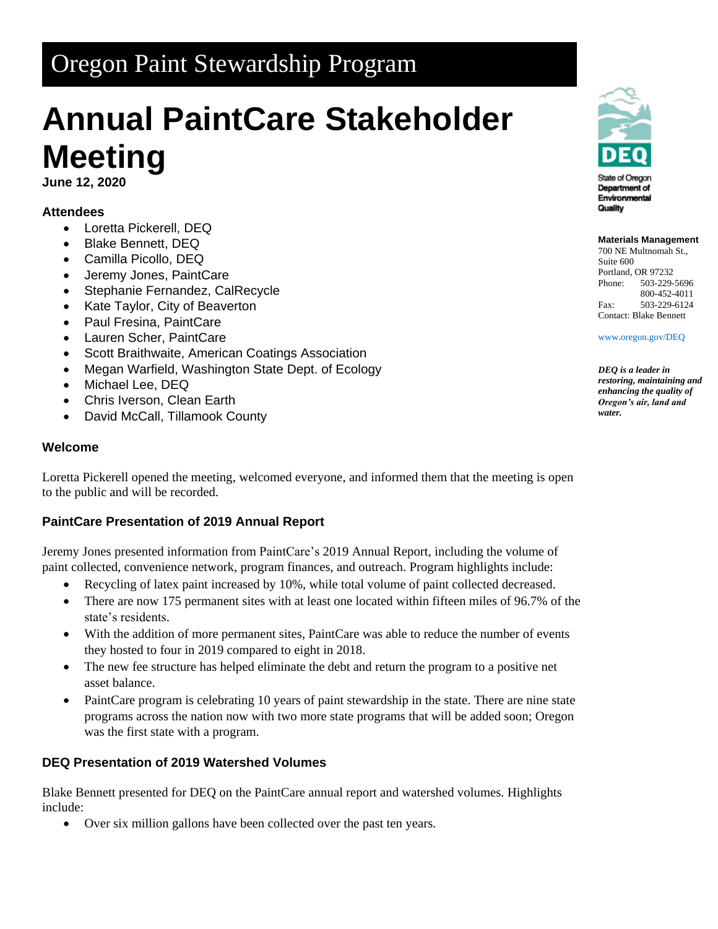## Oregon Paint Stewardship Program

# **Annual PaintCare Stakeholder Meeting**

**June 12, 2020**

### **Attendees**

- Loretta Pickerell, DEQ
- Blake Bennett, DEQ
- Camilla Picollo, DEQ
- Jeremy Jones, PaintCare
- Stephanie Fernandez, CalRecycle
- Kate Taylor, City of Beaverton
- Paul Fresina, PaintCare
- Lauren Scher, PaintCare
- Scott Braithwaite, American Coatings Association
- Megan Warfield, Washington State Dept. of Ecology
- Michael Lee, DEQ
- Chris Iverson, Clean Earth
- David McCall, Tillamook County

#### **Welcome**

Loretta Pickerell opened the meeting, welcomed everyone, and informed them that the meeting is open to the public and will be recorded.

#### **PaintCare Presentation of 2019 Annual Report**

Jeremy Jones presented information from PaintCare's 2019 Annual Report, including the volume of paint collected, convenience network, program finances, and outreach. Program highlights include:

- Recycling of latex paint increased by 10%, while total volume of paint collected decreased.
- There are now 175 permanent sites with at least one located within fifteen miles of 96.7% of the state's residents.
- With the addition of more permanent sites, PaintCare was able to reduce the number of events they hosted to four in 2019 compared to eight in 2018.
- The new fee structure has helped eliminate the debt and return the program to a positive net asset balance.
- PaintCare program is celebrating 10 years of paint stewardship in the state. There are nine state programs across the nation now with two more state programs that will be added soon; Oregon was the first state with a program.

#### **DEQ Presentation of 2019 Watershed Volumes**

Blake Bennett presented for DEQ on the PaintCare annual report and watershed volumes. Highlights include:

• Over six million gallons have been collected over the past ten years.



Environmental Quality

#### **Materials Management**

700 NE Multnomah St., Suite 600 Portland, OR 97232 Phone: 503-229-5696 800-452-4011 Fax: 503-229-6124 Contact: Blake Bennett

[www.oregon.gov/DEQ](file://///deq001/templates/General/www.oregon.gov/DEQ)

*DEQ is a leader in restoring, maintaining and enhancing the quality of Oregon's air, land and water.*